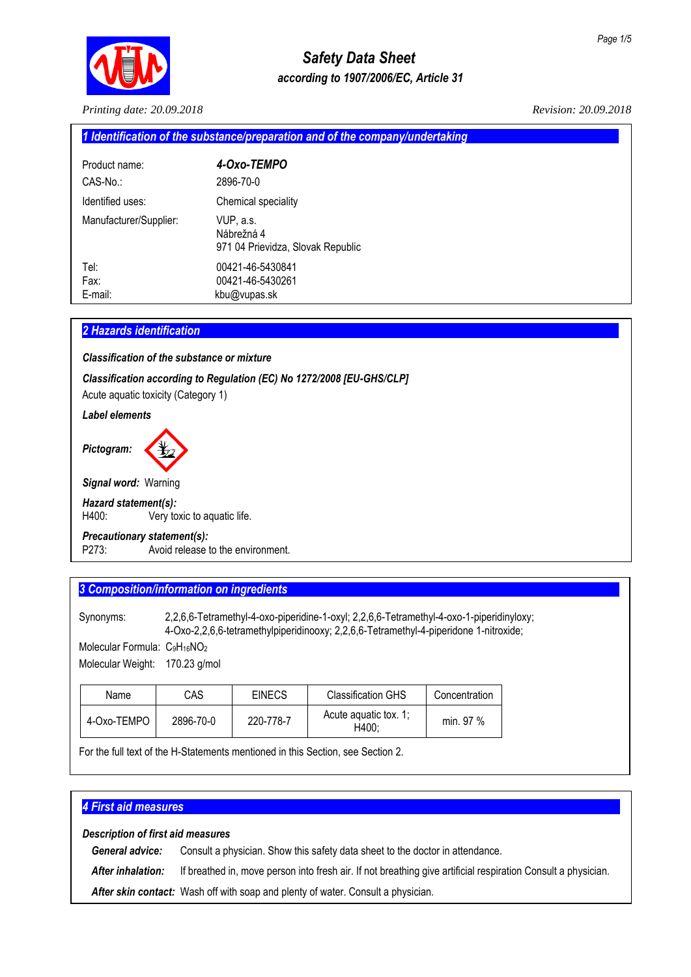

*Printing date: 20.09.2018 Revision: 20.09.2018*

| 1 Identification of the substance/preparation and of the company/undertaking |                                                              |  |
|------------------------------------------------------------------------------|--------------------------------------------------------------|--|
| Product name:                                                                | 4-Oxo-TEMPO                                                  |  |
| $CAS-No.$                                                                    | 2896-70-0                                                    |  |
| Identified uses:                                                             | Chemical speciality                                          |  |
| Manufacturer/Supplier:                                                       | VUP, a.s.<br>Nábrežná 4<br>971 04 Prievidza, Slovak Republic |  |
| Tel:                                                                         | 00421-46-5430841                                             |  |
| Fax:                                                                         | 00421-46-5430261                                             |  |
| E-mail:                                                                      | kbu@vupas.sk                                                 |  |
|                                                                              |                                                              |  |

# *2 Hazards identification................................................................................................................................................*

*Classification of the substance or mixture*

*Classification according to Regulation (EC) No 1272/2008 [EU-GHS/CLP]*

Acute aquatic toxicity (Category 1)

*Label elements*



*Signal word:* Warning

#### *Hazard statement(s):*

H400: Very toxic to aquatic life.

#### *Precautionary statement(s):*

P273: Avoid release to the environment.

# **3 Composition/information on ingredients**

Synonyms: 2,2,6,6-Tetramethyl-4-oxo-piperidine-1-oxyl; 2,2,6,6-Tetramethyl-4-oxo-1-piperidinyloxy; 4-Oxo-2,2,6,6-tetramethylpiperidinooxy; 2,2,6,6-Tetramethyl-4-piperidone 1-nitroxide;

Molecular Formula: C9H<sub>16</sub>NO<sub>2</sub>

| Molecular Weight: | 170.23 g/mol |
|-------------------|--------------|
|-------------------|--------------|

| Name        | CAS       | <b>EINECS</b> | <b>Classification GHS</b>      | Concentration |
|-------------|-----------|---------------|--------------------------------|---------------|
| 4-Oxo-TEMPO | 2896-70-0 | 220-778-7     | Acute aguatic tox. 1:<br>H400: | min. 97 %     |

For the full text of the H-Statements mentioned in this Section, see Section 2.

# *4 First aid measures......................................................................................................................................................*

*Description of first aid measures*

*General advice:* Consult a physician. Show this safety data sheet to the doctor in attendance.

*After inhalation:* If breathed in, move person into fresh air. If not breathing give artificial respiration Consult a physician.

*After skin contact:* Wash off with soap and plenty of water. Consult a physician.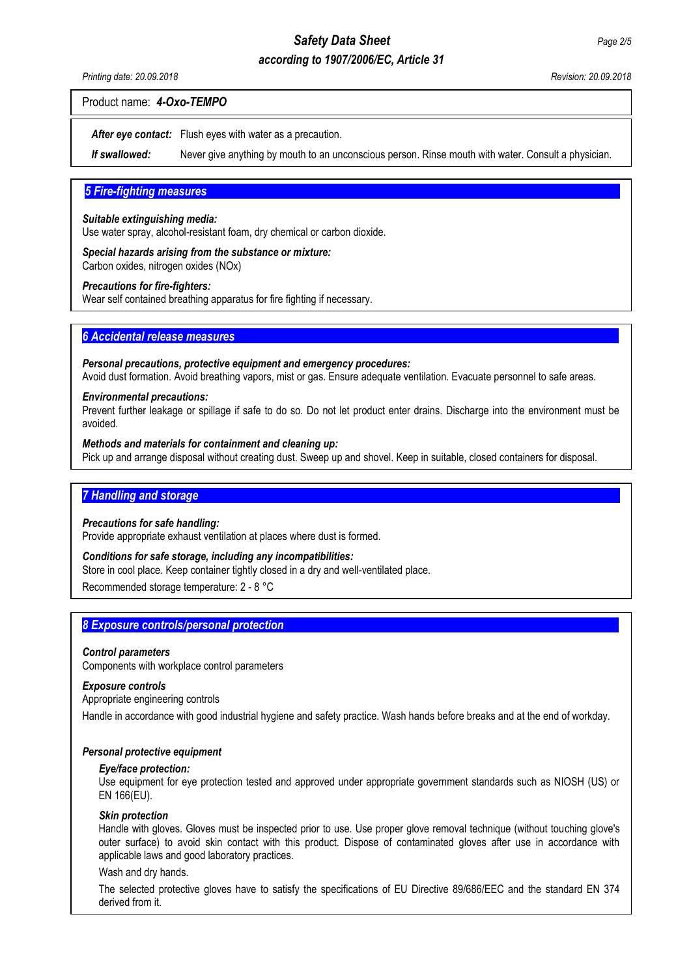# *according to 1907/2006/EC, Article 31*

#### Product name: *4-Oxo-TEMPO*

*After eye contact:* Flush eyes with water as a precaution.

*If swallowed:* Never give anything by mouth to an unconscious person. Rinse mouth with water. Consult a physician.

#### **5 Fire-fighting measures**

#### *Suitable extinguishing media:*

Use water spray, alcohol-resistant foam, dry chemical or carbon dioxide.

*Special hazards arising from the substance or mixture:* Carbon oxides, nitrogen oxides (NOx)

#### *Precautions for fire-fighters:*

Wear self contained breathing apparatus for fire fighting if necessary.

#### **6 Accidental release measures**

#### *Personal precautions, protective equipment and emergency procedures:*

Avoid dust formation. Avoid breathing vapors, mist or gas. Ensure adequate ventilation. Evacuate personnel to safe areas.

#### *Environmental precautions:*

Prevent further leakage or spillage if safe to do so. Do not let product enter drains. Discharge into the environment must be avoided.

#### *Methods and materials for containment and cleaning up:*

Pick up and arrange disposal without creating dust. Sweep up and shovel. Keep in suitable, closed containers for disposal.

#### **7 Handling and storage**

#### *Precautions for safe handling:*

Provide appropriate exhaust ventilation at places where dust is formed.

#### *Conditions for safe storage, including any incompatibilities:*

Store in cool place. Keep container tightly closed in a dry and well-ventilated place.

Recommended storage temperature: 2 - 8 °C

#### **8 Exposure controls/personal protection**

#### *Control parameters*

Components with workplace control parameters

#### *Exposure controls*

#### Appropriate engineering controls

Handle in accordance with good industrial hygiene and safety practice. Wash hands before breaks and at the end of workday.

#### *Personal protective equipment*

#### *Eye/face protection:*

Use equipment for eye protection tested and approved under appropriate government standards such as NIOSH (US) or EN 166(EU).

#### *Skin protection*

Handle with gloves. Gloves must be inspected prior to use. Use proper glove removal technique (without touching glove's outer surface) to avoid skin contact with this product. Dispose of contaminated gloves after use in accordance with applicable laws and good laboratory practices.

#### Wash and dry hands.

The selected protective gloves have to satisfy the specifications of EU Directive 89/686/EEC and the standard EN 374 derived from it.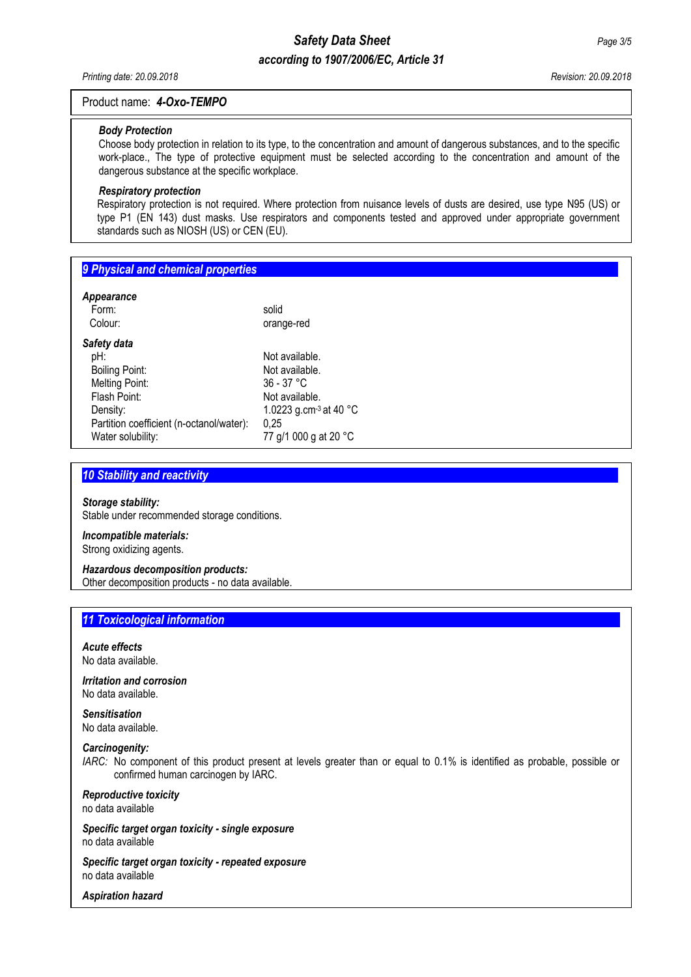# *Safety Data Sheet Page 3/5 according to 1907/2006/EC, Article 31*

*Printing date: 20.09.2018 Revision: 20.09.2018*

#### Product name: *4-Oxo-TEMPO*

#### *Body Protection*

Choose body protection in relation to its type, to the concentration and amount of dangerous substances, and to the specific work-place., The type of protective equipment must be selected according to the concentration and amount of the dangerous substance at the specific workplace.

#### *Respiratory protection*

Respiratory protection is not required. Where protection from nuisance levels of dusts are desired, use type N95 (US) or type P1 (EN 143) dust masks. Use respirators and components tested and approved under appropriate government standards such as NIOSH (US) or CEN (EU).

| 9 Physical and chemical properties |  |
|------------------------------------|--|
|                                    |  |
| Appearance                         |  |

| solid<br>orange-red                                                                                                                        |
|--------------------------------------------------------------------------------------------------------------------------------------------|
| Not available.<br>Not available.<br>$36 - 37 °C$<br>Not available.<br>1.0223 g.cm- $3$ at 40 $^{\circ}$ C<br>0.25<br>77 g/1 000 g at 20 °C |
|                                                                                                                                            |

#### **10 Stability and reactivity**

#### *Storage stability:*

Stable under recommended storage conditions.

#### *Incompatible materials:* Strong oxidizing agents.

# *Hazardous decomposition products:*

Other decomposition products - no data available.

# *11 Toxicological information........................................................................................................................................*

*Acute effects* No data available.

*Irritation and corrosion* No data available.

# *Sensitisation*

No data available.

# *Carcinogenity:*

*IARC:* No component of this product present at levels greater than or equal to 0.1% is identified as probable, possible or confirmed human carcinogen by IARC.

#### *Reproductive toxicity* no data available

*Specific target organ toxicity - single exposure* no data available

*Specific target organ toxicity - repeated exposure* no data available

*Aspiration hazard*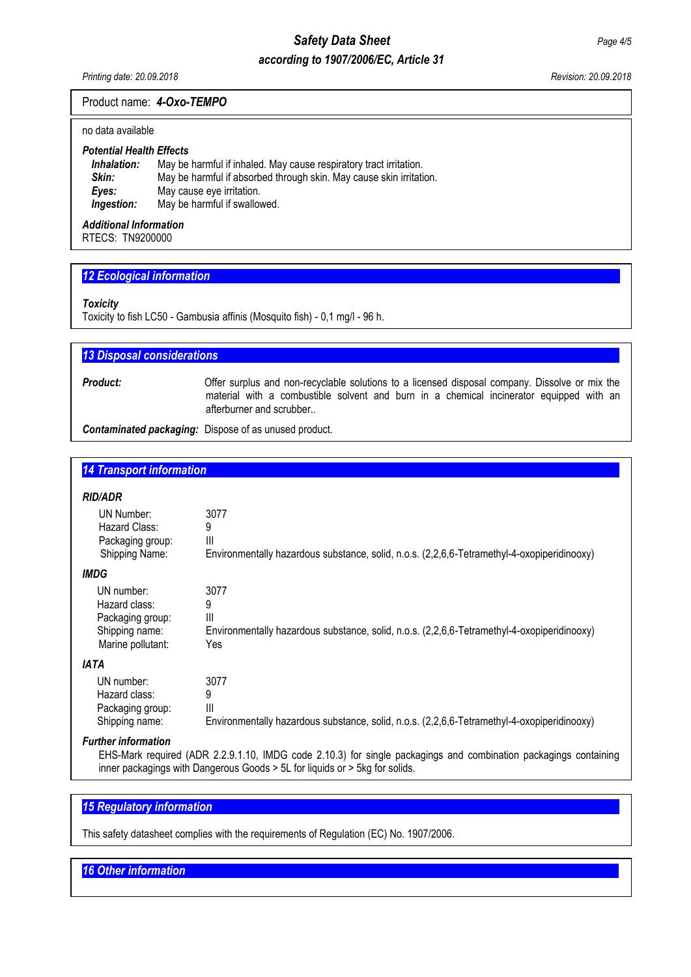# *Safety Data Sheet Page 4/5*

# *according to 1907/2006/EC, Article 31*

*Printing date: 20.09.2018 Revision: 20.09.2018*

#### Product name: *4-Oxo-TEMPO*

#### no data available

# *Potential Health Effects*

**Inhalation:** May be harmful if inhaled. May cause respiratory tract irritation.<br>**Skin:** May be harmful if absorbed through skin. May cause skin irritati **Skin:** May be harmful if absorbed through skin. May cause skin irritation.<br>**Eyes:** May cause eye irritation. **Eyes:** May cause eye irritation.<br>**Ingestion:** May be harmful if swallov May be harmful if swallowed.

# *Additional Information*

RTECS:TN9200000

#### *12 Ecological information.............................................................................................................................................*

#### *Toxicity*

Toxicity to fish LC50 - Gambusia affinis (Mosquito fish) - 0,1 mg/l - 96 h.

#### **13 Disposal considerations**

**Product:** Offer surplus and non-recyclable solutions to a licensed disposal company. Dissolve or mix the material with a combustible solvent and burn in a chemical incinerator equipped with an afterburner and scrubber..

*Contaminated packaging:* Dispose of as unused product.

## *14 Transport information..............................................................................................................................................*

#### *RID/ADR*

| <i>KIV/ADK</i>                                                                         |                                                                                                                            |
|----------------------------------------------------------------------------------------|----------------------------------------------------------------------------------------------------------------------------|
| UN Number:<br>Hazard Class:<br>Packaging group:<br>Shipping Name:                      | 3077<br>9<br>Ш<br>Environmentally hazardous substance, solid, n.o.s. (2,2,6,6-Tetramethyl-4-oxopiperidinooxy)              |
| <i><b>IMDG</b></i>                                                                     |                                                                                                                            |
| UN number:<br>Hazard class:<br>Packaging group:<br>Shipping name:<br>Marine pollutant: | 3077<br>9<br>Ш<br>Environmentally hazardous substance, solid, n.o.s. (2,2,6,6-Tetramethyl-4-oxopiperidinooxy)<br>Yes       |
| <b>IATA</b>                                                                            |                                                                                                                            |
| UN number:<br>Hazard class:<br>Packaging group:<br>Shipping name:                      | 3077<br>9<br>$\mathbf{III}$<br>Environmentally hazardous substance, solid, n.o.s. (2,2,6,6-Tetramethyl-4-oxopiperidinooxy) |
|                                                                                        |                                                                                                                            |

# *Further information*

EHS-Mark required (ADR 2.2.9.1.10, IMDG code 2.10.3) for single packagings and combination packagings containing inner packagings with Dangerous Goods > 5L for liquids or > 5kg for solids.

# *15 Regulatory information............................................................................................................................................*

This safety datasheet complies with the requirements of Regulation (EC) No. 1907/2006.

#### **16 Other information**